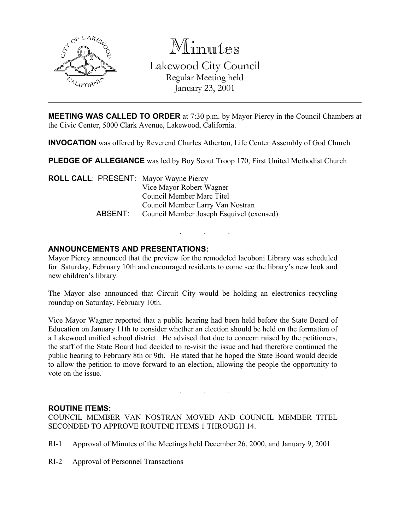

Minutes

Lakewood City Council Regular Meeting held January 23, 2001

MEETING WAS CALLED TO ORDER at 7:30 p.m. by Mayor Piercy in the Council Chambers at the Civic Center, 5000 Clark Avenue, Lakewood, California.

INVOCATION was offered by Reverend Charles Atherton, Life Center Assembly of God Church

**PLEDGE OF ALLEGIANCE** was led by Boy Scout Troop 170, First United Methodist Church

ROLL CALL: PRESENT: Mayor Wayne Piercy Vice Mayor Robert Wagner Council Member Marc Titel Council Member Larry Van Nostran ABSENT: Council Member Joseph Esquivel (excused)

# ANNOUNCEMENTS AND PRESENTATIONS:

Mayor Piercy announced that the preview for the remodeled Iacoboni Library was scheduled for Saturday, February 10th and encouraged residents to come see the library's new look and new children's library.

. . .

The Mayor also announced that Circuit City would be holding an electronics recycling roundup on Saturday, February 10th.

Vice Mayor Wagner reported that a public hearing had been held before the State Board of Education on January 11th to consider whether an election should be held on the formation of a Lakewood unified school district. He advised that due to concern raised by the petitioners, the staff of the State Board had decided to re-visit the issue and had therefore continued the public hearing to February 8th or 9th. He stated that he hoped the State Board would decide to allow the petition to move forward to an election, allowing the people the opportunity to vote on the issue.

#### ROUTINE ITEMS:

COUNCIL MEMBER VAN NOSTRAN MOVED AND COUNCIL MEMBER TITEL SECONDED TO APPROVE ROUTINE ITEMS 1 THROUGH 14.

. . .

- RI-1 Approval of Minutes of the Meetings held December 26, 2000, and January 9, 2001
- RI-2 Approval of Personnel Transactions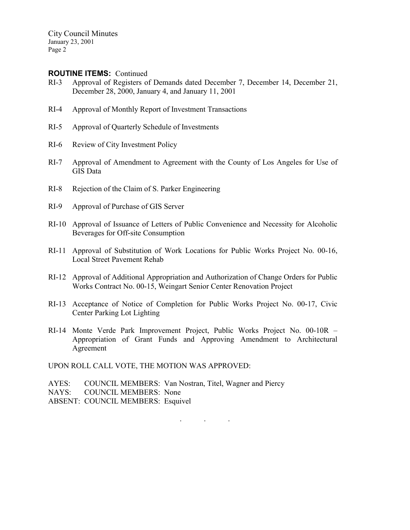#### ROUTINE ITEMS: Continued

- RI-3 Approval of Registers of Demands dated December 7, December 14, December 21, December 28, 2000, January 4, and January 11, 2001
- RI-4 Approval of Monthly Report of Investment Transactions
- RI-5 Approval of Quarterly Schedule of Investments
- RI-6 Review of City Investment Policy
- RI-7 Approval of Amendment to Agreement with the County of Los Angeles for Use of GIS Data
- RI-8 Rejection of the Claim of S. Parker Engineering
- RI-9 Approval of Purchase of GIS Server
- RI-10 Approval of Issuance of Letters of Public Convenience and Necessity for Alcoholic Beverages for Off-site Consumption
- RI-11 Approval of Substitution of Work Locations for Public Works Project No. 00-16, Local Street Pavement Rehab
- RI-12 Approval of Additional Appropriation and Authorization of Change Orders for Public Works Contract No. 00-15, Weingart Senior Center Renovation Project
- RI-13 Acceptance of Notice of Completion for Public Works Project No. 00-17, Civic Center Parking Lot Lighting
- RI-14 Monte Verde Park Improvement Project, Public Works Project No. 00-10R Appropriation of Grant Funds and Approving Amendment to Architectural Agreement

UPON ROLL CALL VOTE, THE MOTION WAS APPROVED:

- AYES: COUNCIL MEMBERS: Van Nostran, Titel, Wagner and Piercy
- NAYS: COUNCIL MEMBERS: None
- ABSENT: COUNCIL MEMBERS: Esquivel

. . .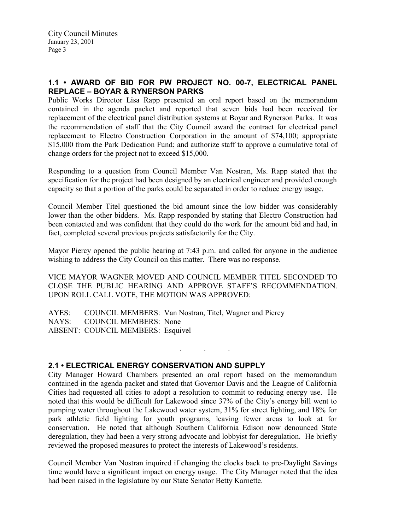# 1.1 • AWARD OF BID FOR PW PROJECT NO. 00-7, ELECTRICAL PANEL REPLACE – BOYAR & RYNERSON PARKS

Public Works Director Lisa Rapp presented an oral report based on the memorandum contained in the agenda packet and reported that seven bids had been received for replacement of the electrical panel distribution systems at Boyar and Rynerson Parks. It was the recommendation of staff that the City Council award the contract for electrical panel replacement to Electro Construction Corporation in the amount of \$74,100; appropriate \$15,000 from the Park Dedication Fund; and authorize staff to approve a cumulative total of change orders for the project not to exceed \$15,000.

Responding to a question from Council Member Van Nostran, Ms. Rapp stated that the specification for the project had been designed by an electrical engineer and provided enough capacity so that a portion of the parks could be separated in order to reduce energy usage.

Council Member Titel questioned the bid amount since the low bidder was considerably lower than the other bidders. Ms. Rapp responded by stating that Electro Construction had been contacted and was confident that they could do the work for the amount bid and had, in fact, completed several previous projects satisfactorily for the City.

Mayor Piercy opened the public hearing at 7:43 p.m. and called for anyone in the audience wishing to address the City Council on this matter. There was no response.

VICE MAYOR WAGNER MOVED AND COUNCIL MEMBER TITEL SECONDED TO CLOSE THE PUBLIC HEARING AND APPROVE STAFF'S RECOMMENDATION. UPON ROLL CALL VOTE, THE MOTION WAS APPROVED:

AYES: COUNCIL MEMBERS: Van Nostran, Titel, Wagner and Piercy NAYS: COUNCIL MEMBERS: None ABSENT: COUNCIL MEMBERS: Esquivel

### 2.1 • ELECTRICAL ENERGY CONSERVATION AND SUPPLY

City Manager Howard Chambers presented an oral report based on the memorandum contained in the agenda packet and stated that Governor Davis and the League of California Cities had requested all cities to adopt a resolution to commit to reducing energy use. He noted that this would be difficult for Lakewood since 37% of the City's energy bill went to pumping water throughout the Lakewood water system, 31% for street lighting, and 18% for park athletic field lighting for youth programs, leaving fewer areas to look at for conservation. He noted that although Southern California Edison now denounced State deregulation, they had been a very strong advocate and lobbyist for deregulation. He briefly reviewed the proposed measures to protect the interests of Lakewood's residents.

. . .

Council Member Van Nostran inquired if changing the clocks back to pre-Daylight Savings time would have a significant impact on energy usage. The City Manager noted that the idea had been raised in the legislature by our State Senator Betty Karnette.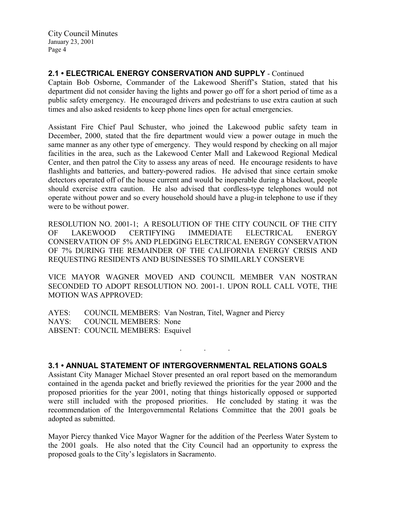# 2.1 • ELECTRICAL ENERGY CONSERVATION AND SUPPLY - Continued

Captain Bob Osborne, Commander of the Lakewood Sheriff's Station, stated that his department did not consider having the lights and power go off for a short period of time as a public safety emergency. He encouraged drivers and pedestrians to use extra caution at such times and also asked residents to keep phone lines open for actual emergencies.

Assistant Fire Chief Paul Schuster, who joined the Lakewood public safety team in December, 2000, stated that the fire department would view a power outage in much the same manner as any other type of emergency. They would respond by checking on all major facilities in the area, such as the Lakewood Center Mall and Lakewood Regional Medical Center, and then patrol the City to assess any areas of need. He encourage residents to have flashlights and batteries, and battery-powered radios. He advised that since certain smoke detectors operated off of the house current and would be inoperable during a blackout, people should exercise extra caution. He also advised that cordless-type telephones would not operate without power and so every household should have a plug-in telephone to use if they were to be without power.

RESOLUTION NO. 2001-1; A RESOLUTION OF THE CITY COUNCIL OF THE CITY OF LAKEWOOD CERTIFYING IMMEDIATE ELECTRICAL ENERGY CONSERVATION OF 5% AND PLEDGING ELECTRICAL ENERGY CONSERVATION OF 7% DURING THE REMAINDER OF THE CALIFORNIA ENERGY CRISIS AND REQUESTING RESIDENTS AND BUSINESSES TO SIMILARLY CONSERVE

VICE MAYOR WAGNER MOVED AND COUNCIL MEMBER VAN NOSTRAN SECONDED TO ADOPT RESOLUTION NO. 2001-1. UPON ROLL CALL VOTE, THE MOTION WAS APPROVED:

AYES: COUNCIL MEMBERS: Van Nostran, Titel, Wagner and Piercy NAYS: COUNCIL MEMBERS: None ABSENT: COUNCIL MEMBERS: Esquivel

### 3.1 • ANNUAL STATEMENT OF INTERGOVERNMENTAL RELATIONS GOALS

. . .

Assistant City Manager Michael Stover presented an oral report based on the memorandum contained in the agenda packet and briefly reviewed the priorities for the year 2000 and the proposed priorities for the year 2001, noting that things historically opposed or supported were still included with the proposed priorities. He concluded by stating it was the recommendation of the Intergovernmental Relations Committee that the 2001 goals be adopted as submitted.

Mayor Piercy thanked Vice Mayor Wagner for the addition of the Peerless Water System to the 2001 goals. He also noted that the City Council had an opportunity to express the proposed goals to the City's legislators in Sacramento.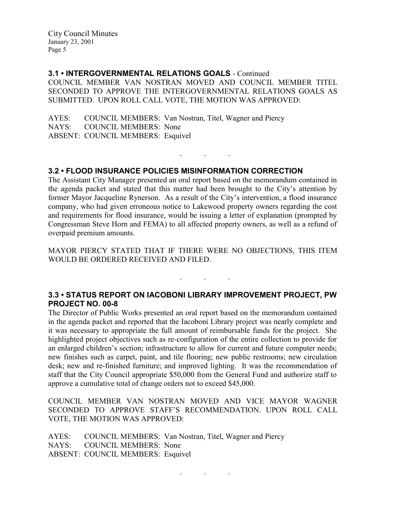### 3.1 • INTERGOVERNMENTAL RELATIONS GOALS - Continued

COUNCIL MEMBER VAN NOSTRAN MOVED AND COUNCIL MEMBER TITEL SECONDED TO APPROVE THE INTERGOVERNMENTAL RELATIONS GOALS AS SUBMITTED. UPON ROLL CALL VOTE, THE MOTION WAS APPROVED:

AYES: COUNCIL MEMBERS: Van Nostran, Titel, Wagner and Piercy NAYS: COUNCIL MEMBERS: None ABSENT: COUNCIL MEMBERS: Esquivel

### 3.2 • FLOOD INSURANCE POLICIES MISINFORMATION CORRECTION

The Assistant City Manager presented an oral report based on the memorandum contained in the agenda packet and stated that this matter had been brought to the City's attention by former Mayor Jacqueline Rynerson. As a result of the City's intervention, a flood insurance company, who had given erroneous notice to Lakewood property owners regarding the cost and requirements for flood insurance, would be issuing a letter of explanation (prompted by Congressman Steve Horn and FEMA) to all affected property owners, as well as a refund of overpaid premium amounts.

. . .

MAYOR PIERCY STATED THAT IF THERE WERE NO OBJECTIONS, THIS ITEM WOULD BE ORDERED RECEIVED AND FILED.

. . .

### 3.3 • STATUS REPORT ON IACOBONI LIBRARY IMPROVEMENT PROJECT, PW PROJECT NO. 00-8

The Director of Public Works presented an oral report based on the memorandum contained in the agenda packet and reported that the Iacoboni Library project was nearly complete and it was necessary to appropriate the full amount of reimbursable funds for the project. She highlighted project objectives such as re-configuration of the entire collection to provide for an enlarged children's section; infrastructure to allow for current and future computer needs; new finishes such as carpet, paint, and tile flooring; new public restrooms; new circulation desk; new and re-finished furniture; and improved lighting. It was the recommendation of staff that the City Council appropriate \$50,000 from the General Fund and authorize staff to approve a cumulative total of change orders not to exceed \$45,000.

COUNCIL MEMBER VAN NOSTRAN MOVED AND VICE MAYOR WAGNER SECONDED TO APPROVE STAFF'S RECOMMENDATION. UPON ROLL CALL VOTE, THE MOTION WAS APPROVED:

. . .

AYES: COUNCIL MEMBERS: Van Nostran, Titel, Wagner and Piercy NAYS: COUNCIL MEMBERS: None ABSENT: COUNCIL MEMBERS: Esquivel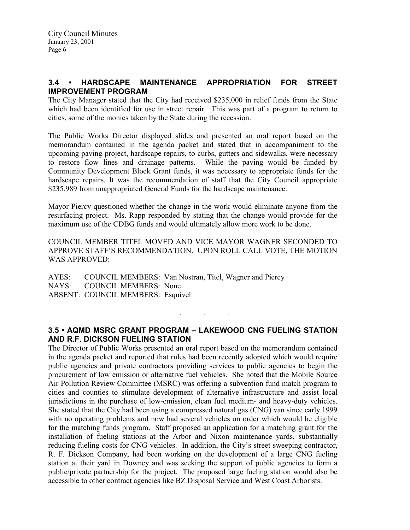# 3.4 • HARDSCAPE MAINTENANCE APPROPRIATION FOR STREET IMPROVEMENT PROGRAM

The City Manager stated that the City had received \$235,000 in relief funds from the State which had been identified for use in street repair. This was part of a program to return to cities, some of the monies taken by the State during the recession.

The Public Works Director displayed slides and presented an oral report based on the memorandum contained in the agenda packet and stated that in accompaniment to the upcoming paving project, hardscape repairs, to curbs, gutters and sidewalks, were necessary to restore flow lines and drainage patterns. While the paving would be funded by Community Development Block Grant funds, it was necessary to appropriate funds for the hardscape repairs. It was the recommendation of staff that the City Council appropriate \$235,989 from unappropriated General Funds for the hardscape maintenance.

Mayor Piercy questioned whether the change in the work would eliminate anyone from the resurfacing project. Ms. Rapp responded by stating that the change would provide for the maximum use of the CDBG funds and would ultimately allow more work to be done.

COUNCIL MEMBER TITEL MOVED AND VICE MAYOR WAGNER SECONDED TO APPROVE STAFF'S RECOMMENDATION. UPON ROLL CALL VOTE, THE MOTION WAS APPROVED:

AYES: COUNCIL MEMBERS: Van Nostran, Titel, Wagner and Piercy NAYS: COUNCIL MEMBERS: None ABSENT: COUNCIL MEMBERS: Esquivel

# 3.5 • AQMD MSRC GRANT PROGRAM – LAKEWOOD CNG FUELING STATION AND R.F. DICKSON FUELING STATION

 $\ddot{\phantom{a}}$ 

The Director of Public Works presented an oral report based on the memorandum contained in the agenda packet and reported that rules had been recently adopted which would require public agencies and private contractors providing services to public agencies to begin the procurement of low emission or alternative fuel vehicles. She noted that the Mobile Source Air Pollution Review Committee (MSRC) was offering a subvention fund match program to cities and counties to stimulate development of alternative infrastructure and assist local jurisdictions in the purchase of low-emission, clean fuel medium- and heavy-duty vehicles. She stated that the City had been using a compressed natural gas (CNG) van since early 1999 with no operating problems and now had several vehicles on order which would be eligible for the matching funds program. Staff proposed an application for a matching grant for the installation of fueling stations at the Arbor and Nixon maintenance yards, substantially reducing fueling costs for CNG vehicles. In addition, the City's street sweeping contractor, R. F. Dickson Company, had been working on the development of a large CNG fueling station at their yard in Downey and was seeking the support of public agencies to form a public/private partnership for the project. The proposed large fueling station would also be accessible to other contract agencies like BZ Disposal Service and West Coast Arborists.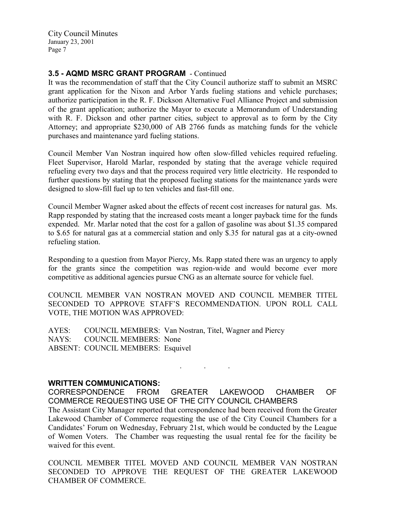# 3.5 - AQMD MSRC GRANT PROGRAM - Continued

It was the recommendation of staff that the City Council authorize staff to submit an MSRC grant application for the Nixon and Arbor Yards fueling stations and vehicle purchases; authorize participation in the R. F. Dickson Alternative Fuel Alliance Project and submission of the grant application; authorize the Mayor to execute a Memorandum of Understanding with R. F. Dickson and other partner cities, subject to approval as to form by the City Attorney; and appropriate \$230,000 of AB 2766 funds as matching funds for the vehicle purchases and maintenance yard fueling stations.

Council Member Van Nostran inquired how often slow-filled vehicles required refueling. Fleet Supervisor, Harold Marlar, responded by stating that the average vehicle required refueling every two days and that the process required very little electricity. He responded to further questions by stating that the proposed fueling stations for the maintenance yards were designed to slow-fill fuel up to ten vehicles and fast-fill one.

Council Member Wagner asked about the effects of recent cost increases for natural gas. Ms. Rapp responded by stating that the increased costs meant a longer payback time for the funds expended. Mr. Marlar noted that the cost for a gallon of gasoline was about \$1.35 compared to \$.65 for natural gas at a commercial station and only \$.35 for natural gas at a city-owned refueling station.

Responding to a question from Mayor Piercy, Ms. Rapp stated there was an urgency to apply for the grants since the competition was region-wide and would become ever more competitive as additional agencies pursue CNG as an alternate source for vehicle fuel.

COUNCIL MEMBER VAN NOSTRAN MOVED AND COUNCIL MEMBER TITEL SECONDED TO APPROVE STAFF'S RECOMMENDATION. UPON ROLL CALL VOTE, THE MOTION WAS APPROVED:

AYES: COUNCIL MEMBERS: Van Nostran, Titel, Wagner and Piercy NAYS: COUNCIL MEMBERS: None ABSENT: COUNCIL MEMBERS: Esquivel

#### WRITTEN COMMUNICATIONS:

CORRESPONDENCE FROM GREATER LAKEWOOD CHAMBER OF COMMERCE REQUESTING USE OF THE CITY COUNCIL CHAMBERS The Assistant City Manager reported that correspondence had been received from the Greater Lakewood Chamber of Commerce requesting the use of the City Council Chambers for a Candidates' Forum on Wednesday, February 21st, which would be conducted by the League of Women Voters. The Chamber was requesting the usual rental fee for the facility be waived for this event.

. . .

COUNCIL MEMBER TITEL MOVED AND COUNCIL MEMBER VAN NOSTRAN SECONDED TO APPROVE THE REQUEST OF THE GREATER LAKEWOOD CHAMBER OF COMMERCE.